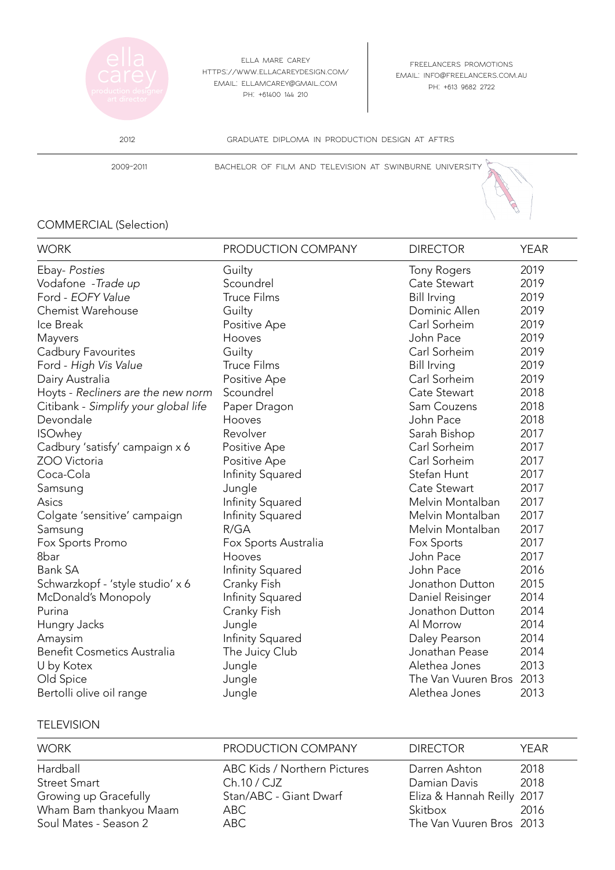

ella mare carey https://www.ellacareydesign.com/ email: ellamcarey@gmail.com ph: +61400 144 210

freelancers promotions email: info@freelancers.com.au ph: +613 9682 2722

2012 graduate diploma in production design at aftrs

2009-2011 bachelor of film and television at swinburne university

## COMMERCIAL (Selection)

| <b>WORK</b>                          | PRODUCTION COMPANY   | <b>DIRECTOR</b>          | <b>YEAR</b> |
|--------------------------------------|----------------------|--------------------------|-------------|
| Ebay- Posties                        | Guilty               | <b>Tony Rogers</b>       | 2019        |
| Vodafone - Trade up                  | Scoundrel            | Cate Stewart             | 2019        |
| Ford - EOFY Value                    | <b>Truce Films</b>   | <b>Bill Irving</b>       | 2019        |
| Chemist Warehouse                    | Guilty               | Dominic Allen            | 2019        |
| Ice Break                            | Positive Ape         | Carl Sorheim             | 2019        |
| Mayvers                              | Hooves               | John Pace                | 2019        |
| Cadbury Favourites                   | Guilty               | Carl Sorheim             | 2019        |
| Ford - High Vis Value                | <b>Truce Films</b>   | <b>Bill Irving</b>       | 2019        |
| Dairy Australia                      | Positive Ape         | Carl Sorheim             | 2019        |
| Hoyts - Recliners are the new norm   | Scoundrel            | Cate Stewart             | 2018        |
| Citibank - Simplify your global life | Paper Dragon         | Sam Couzens              | 2018        |
| Devondale                            | Hooves               | John Pace                | 2018        |
| <b>ISOwhey</b>                       | Revolver             | Sarah Bishop             | 2017        |
| Cadbury 'satisfy' campaign x 6       | Positive Ape         | Carl Sorheim             | 2017        |
| ZOO Victoria                         | Positive Ape         | Carl Sorheim             | 2017        |
| Coca-Cola                            | Infinity Squared     | Stefan Hunt              | 2017        |
| Samsung                              | Jungle               | Cate Stewart             | 2017        |
| Asics                                | Infinity Squared     | Melvin Montalban         | 2017        |
| Colgate 'sensitive' campaign         | Infinity Squared     | Melvin Montalban         | 2017        |
| Samsung                              | R/GA                 | Melvin Montalban         | 2017        |
| Fox Sports Promo                     | Fox Sports Australia | Fox Sports               | 2017        |
| 8bar                                 | Hooves               | John Pace                | 2017        |
| <b>Bank SA</b>                       | Infinity Squared     | John Pace                | 2016        |
| Schwarzkopf - 'style studio' x 6     | Cranky Fish          | Jonathon Dutton          | 2015        |
| McDonald's Monopoly                  | Infinity Squared     | Daniel Reisinger         | 2014        |
| Purina                               | Cranky Fish          | Jonathon Dutton          | 2014        |
| Hungry Jacks                         | Jungle               | Al Morrow                | 2014        |
| Amaysim                              | Infinity Squared     | Daley Pearson            | 2014        |
| <b>Benefit Cosmetics Australia</b>   | The Juicy Club       | Jonathan Pease           | 2014        |
| U by Kotex                           | Jungle               | Alethea Jones            | 2013        |
| Old Spice                            | Jungle               | The Van Vuuren Bros 2013 |             |
| Bertolli olive oil range             | Jungle               | Alethea Jones            | 2013        |

## **TELEVISION**

| <b>WORK</b>            | PRODUCTION COMPANY           | <b>DIRECTOR</b>            | YFAR. |
|------------------------|------------------------------|----------------------------|-------|
| Hardball               | ABC Kids / Northern Pictures | Darren Ashton              | 2018  |
| <b>Street Smart</b>    | Ch.10 / CJZ                  | Damian Davis               | 2018  |
| Growing up Gracefully  | Stan/ABC - Giant Dwarf       | Eliza & Hannah Reilly 2017 |       |
| Wham Bam thankyou Maam | ABC .                        | Skitbox                    | 2016  |
| Soul Mates - Season 2  | ABC                          | The Van Vuuren Bros 2013   |       |